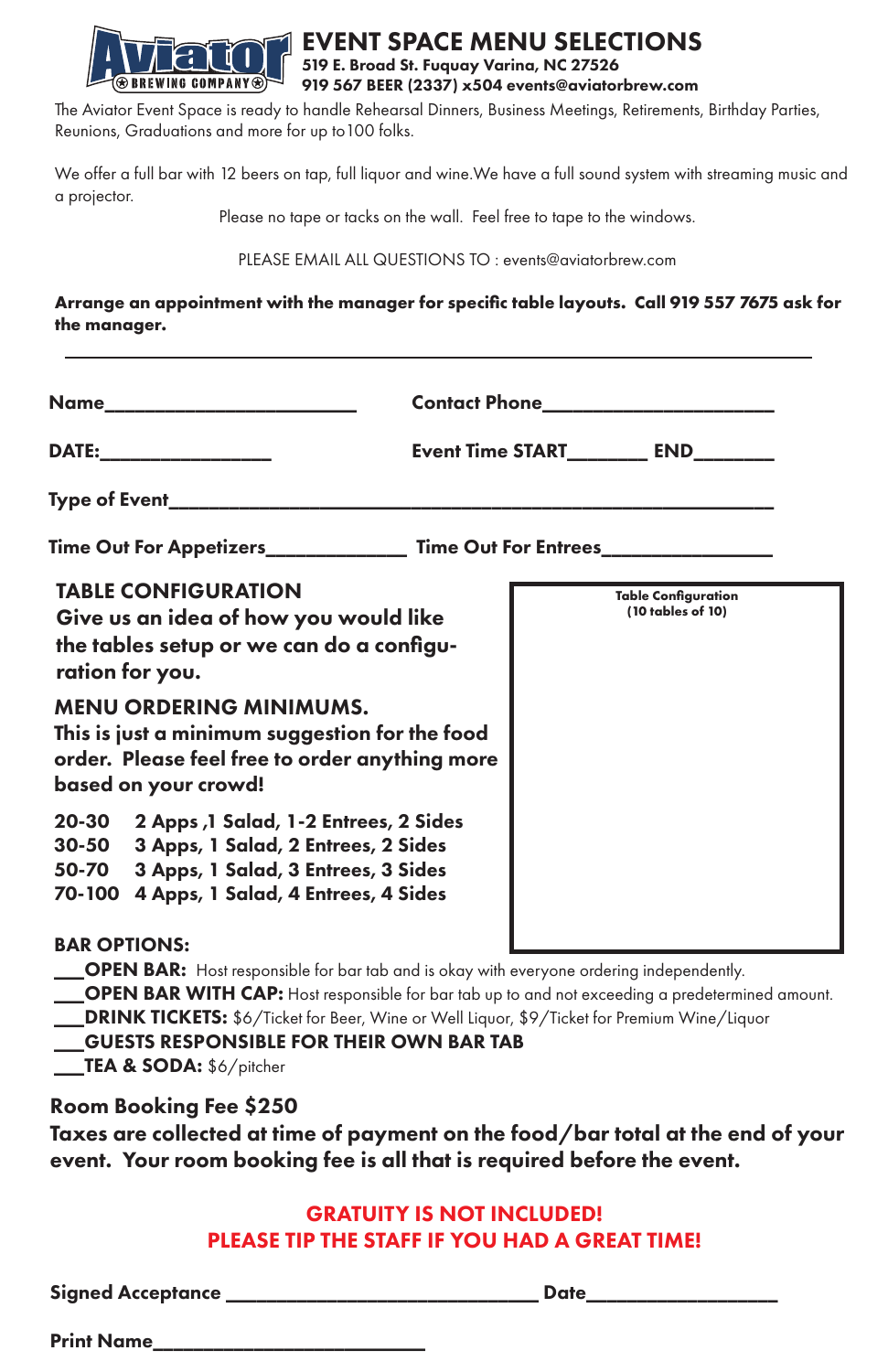

## EVENT SPACE MENU SELECTIONS 519 E. Broad St. Fuquay Varina, NC 27526 919 567 BEER (2337) x504 events@aviatorbrew.com

The Aviator Event Space is ready to handle Rehearsal Dinners, Business Meetings, Retirements, Birthday Parties, Reunions, Graduations and more for up to100 folks.

We offer a full bar with 12 beers on tap, full liquor and wine.We have a full sound system with streaming music and a projector.

Please no tape or tacks on the wall. Feel free to tape to the windows.

PLEASE EMAIL ALL QUESTIONS TO : events@aviatorbrew.com

**Arrange an appointment with the manager for specific table layouts. Call 919 557 7675 ask for the manager.**

| Name__________________________                                                                                                                                                                                                                                                                   |                                                 |
|--------------------------------------------------------------------------------------------------------------------------------------------------------------------------------------------------------------------------------------------------------------------------------------------------|-------------------------------------------------|
| DATE:____________________                                                                                                                                                                                                                                                                        | Event Time START___________ END_________        |
| Type of Event_____________________                                                                                                                                                                                                                                                               |                                                 |
| Time Out For Appetizers_________________ Time Out For Entrees________                                                                                                                                                                                                                            |                                                 |
| <b>TABLE CONFIGURATION</b><br>Give us an idea of how you would like<br>the tables setup or we can do a configu-<br>ration for you.<br><b>MENU ORDERING MINIMUMS.</b><br>This is just a minimum suggestion for the food<br>order. Please feel free to order anything more<br>based on your crowd! | <b>Table Configuration</b><br>(10 tables of 10) |
| 20-30 2 Apps, 1 Salad, 1-2 Entrees, 2 Sides<br>3 Apps, 1 Salad, 2 Entrees, 2 Sides<br>$30 - 50$<br>3 Apps, 1 Salad, 3 Entrees, 3 Sides<br>50-70<br>4 Apps, 1 Salad, 4 Entrees, 4 Sides<br>70-100<br><b>BAR OPTIONS:</b>                                                                          |                                                 |

OPEN BAR: Host responsible for bar tab and is okay with everyone ordering independently.

OPEN BAR WITH CAP: Host responsible for bar tab up to and not exceeding a predetermined amount.

**\_DRINK TICKETS:** \$6/Ticket for Beer, Wine or Well Liquor, \$9/Ticket for Premium Wine/Liquor GUESTS RESPONSIBLE FOR THEIR OWN BAR TAB \_\_TEA & SODA: \$6/pitcher

## Room Booking Fee \$250

Taxes are collected at time of payment on the food/bar total at the end of your event. Your room booking fee is all that is required before the event.

## GRATUITY IS NOT INCLUDED! PLEASE TIP THE STAFF IF YOU HAD A GREAT TIME!

Signed Acceptance \_\_\_\_\_\_\_\_\_\_\_\_\_\_\_\_\_\_\_\_\_\_\_\_\_\_\_\_\_\_\_ Date\_\_\_\_\_\_\_\_\_\_\_\_\_\_\_\_\_\_\_

Print Name\_\_\_\_\_\_\_\_\_\_\_\_\_\_\_\_\_\_\_\_\_\_\_\_\_\_\_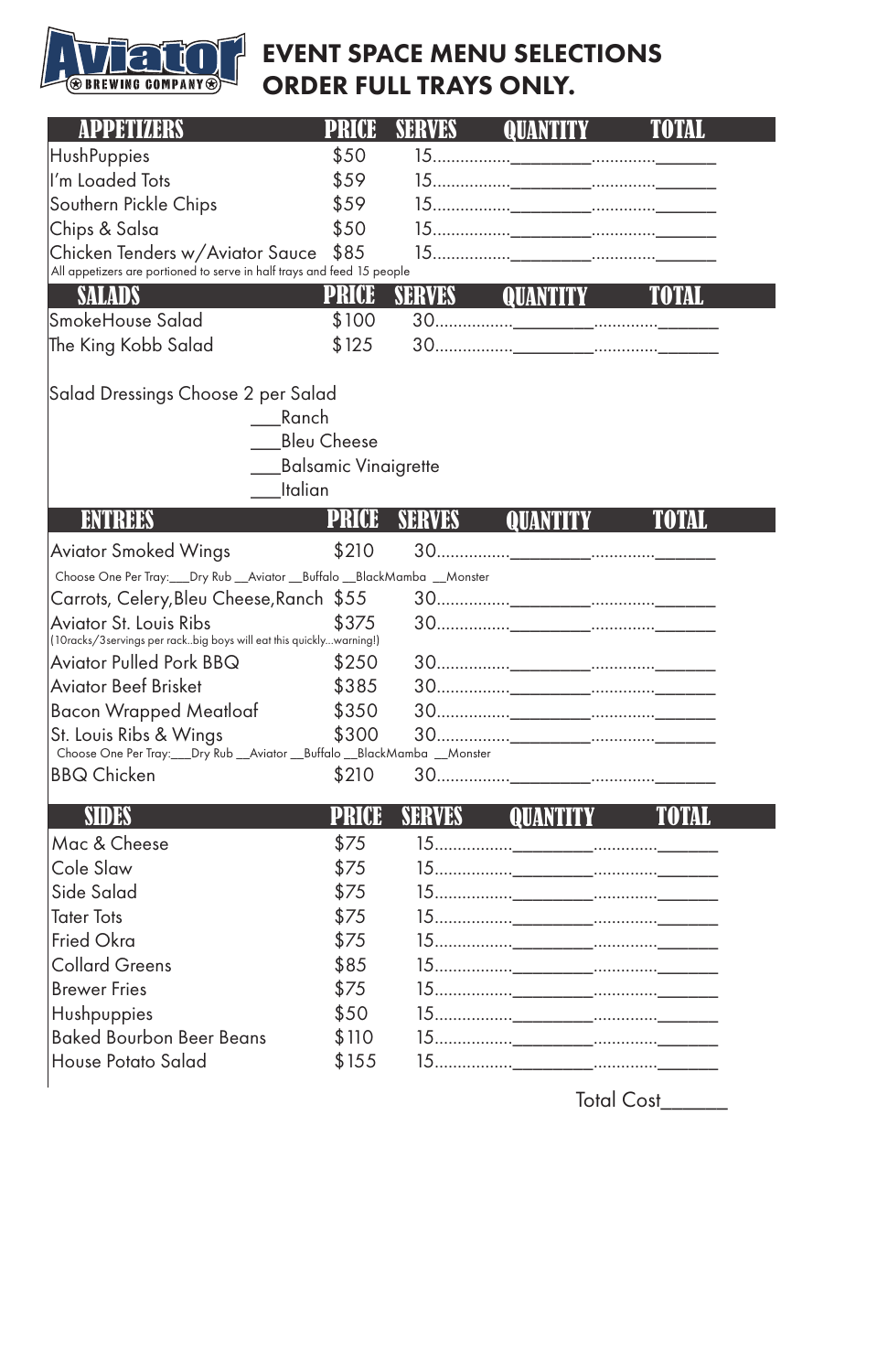

## EVENT SPACE MENU SELECTIONS ORDER FULL TRAYS ONLY.

| HushPuppies                                                                                                   | \$50                                                           |        |  |
|---------------------------------------------------------------------------------------------------------------|----------------------------------------------------------------|--------|--|
| I'm Loaded Tots                                                                                               | \$59                                                           |        |  |
| Southern Pickle Chips                                                                                         | \$59                                                           |        |  |
| Chips & Salsa                                                                                                 | \$50                                                           |        |  |
| Chicken Tenders w/Aviator Sauce<br>All appetizers are portioned to serve in half trays and feed 15 people     | \$85                                                           |        |  |
| SALADS                                                                                                        | PRCE                                                           | SERVES |  |
| SmokeHouse Salad                                                                                              | \$100                                                          |        |  |
| The King Kobb Salad                                                                                           | \$125                                                          |        |  |
| Salad Dressings Choose 2 per Salad                                                                            | Ranch<br><b>Bleu Cheese</b><br>Balsamic Vinaigrette<br>Italian |        |  |
|                                                                                                               |                                                                | SERVES |  |
| <b>Aviator Smoked Wings</b>                                                                                   | \$210                                                          |        |  |
| Choose One Per Tray:___Dry Rub __Aviator __Buffalo __BlackMamba __Monster                                     |                                                                |        |  |
| Carrots, Celery, Bleu Cheese, Ranch \$55                                                                      |                                                                |        |  |
| <b>Aviator St. Louis Ribs</b><br>(10racks/3servings per rackbig boys will eat this quicklywarning!)           | \$375                                                          |        |  |
| <b>Aviator Pulled Pork BBQ</b>                                                                                | \$250                                                          |        |  |
| <b>Aviator Beef Brisket</b>                                                                                   | \$385                                                          |        |  |
| <b>Bacon Wrapped Meatloaf</b>                                                                                 | \$350                                                          |        |  |
| St. Louis Ribs & Wings<br>Choose One Per Tray: ___ Dry Rub ___ Aviator ___ Buffalo ___ BlackMamba ___ Monster | \$300                                                          |        |  |
| <b>BBQ Chicken</b>                                                                                            | \$210                                                          |        |  |
| SIDES                                                                                                         | PRICE                                                          | SERVES |  |
| Mac & Cheese                                                                                                  | \$75                                                           |        |  |
| Cole Slaw                                                                                                     | \$75                                                           |        |  |
| Side Salad                                                                                                    | \$75                                                           |        |  |
| Tater Tots                                                                                                    | \$75                                                           |        |  |

Fried Okra \$75 15.................\_\_\_\_\_\_\_\_..............\_\_\_\_\_\_

Collard Greens \$85 15.................\_\_\_\_\_\_\_\_..............\_\_\_\_\_\_

Brewer Fries \$75 15.................\_\_\_\_\_\_\_\_..............\_\_\_\_\_\_

Total Cost\_\_\_\_\_\_

| Hushpuppies                     |       |  |
|---------------------------------|-------|--|
| <b>Baked Bourbon Beer Beans</b> | \$110 |  |
| House Potato Salad              | \$155 |  |